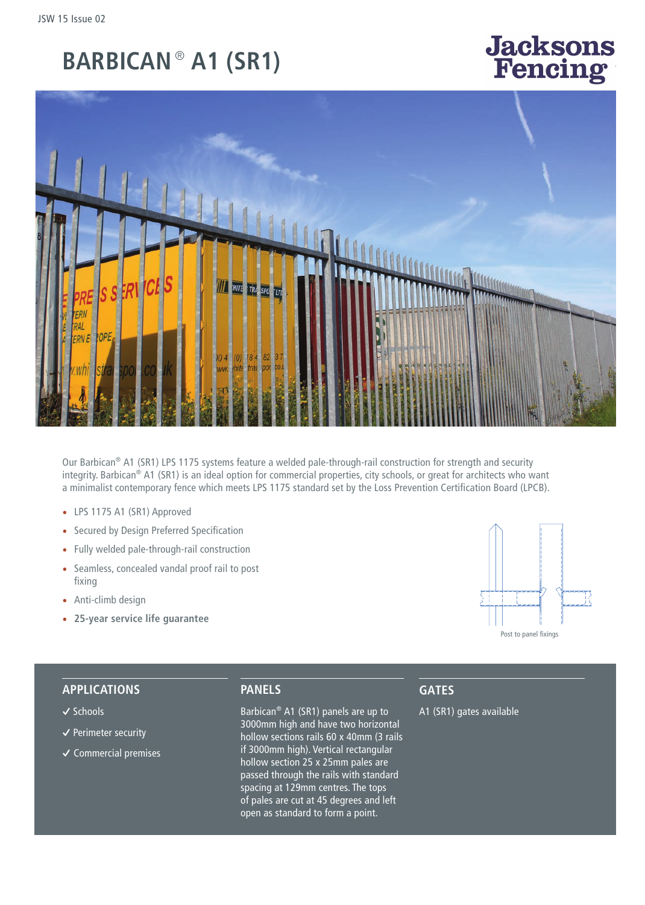# **BARBICAN** ®  **A1 (SR1)**

# **Jacksons** encino<sup>.</sup>



Our Barbican® A1 (SR1) LPS 1175 systems feature a welded pale-through-rail construction for strength and security integrity. Barbican® A1 (SR1) is an ideal option for commercial properties, city schools, or great for architects who want a minimalist contemporary fence which meets LPS 1175 standard set by the Loss Prevention Certification Board (LPCB).

- LPS 1175 A1 (SR1) Approved
- Secured by Design Preferred Specification
- Fully welded pale-through-rail construction
- Seamless, concealed vandal proof rail to post fixing
- Anti-climb design
- **25-year service life guarantee**



#### **APPLICATIONS**

#### **�** Schools

- **�** Perimeter security
- **�** Commercial premises

## **PANELS**

Barbican® A1 (SR1) panels are up to 3000mm high and have two horizontal hollow sections rails 60 x 40mm (3 rails if 3000mm high). Vertical rectangular hollow section 25 x 25mm pales are passed through the rails with standard spacing at 129mm centres. The tops of pales are cut at 45 degrees and left open as standard to form a point.

# **GATES**

A1 (SR1) gates available